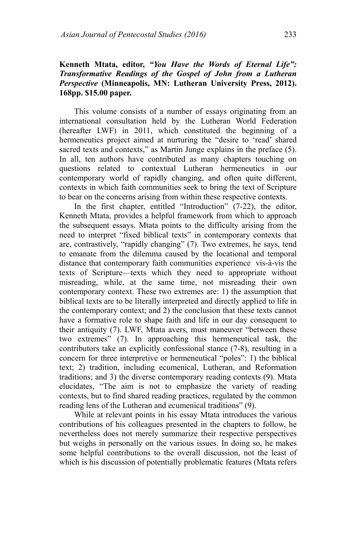## **Kenneth Mtata, editor,** *"You Have the Words of Eternal Life": Transformative Readings of the Gospel of John from a Lutheran Perspective* **(Minneapolis, MN: Lutheran University Press, 2012). 168pp. \$15.00 paper.**

This volume consists of a number of essays originating from an international consultation held by the Lutheran World Federation (hereafter LWF) in 2011, which constituted the beginning of a hermeneutics project aimed at nurturing the "desire to 'read' shared sacred texts and contexts," as Martin Junge explains in the preface (5). In all, ten authors have contributed as many chapters touching on questions related to contextual Lutheran hermeneutics in our contemporary world of rapidly changing, and often quite different, contexts in which faith communities seek to bring the text of Scripture to bear on the concerns arising from within these respective contexts.

In the first chapter, entitled "Introduction" (7-22), the editor, Kenneth Mtata, provides a helpful framework from which to approach the subsequent essays. Mtata points to the difficulty arising from the need to interpret "fixed biblical texts" in contemporary contexts that are, contrastively, "rapidly changing" (7). Two extremes, he says, tend to emanate from the dilemma caused by the locational and temporal distance that contemporary faith communities experience vis-à-vis the texts of Scripture—texts which they need to appropriate without misreading, while, at the same time, not misreading their own contemporary context. These two extremes are: 1) the assumption that biblical texts are to be literally interpreted and directly applied to life in the contemporary context; and 2) the conclusion that these texts cannot have a formative role to shape faith and life in our day consequent to their antiquity (7). LWF, Mtata avers, must maneuver "between these two extremes" (7). In approaching this hermeneutical task, the contributors take an explicitly confessional stance (7-8), resulting in a concern for three interpretive or hermeneutical "poles": 1) the biblical text; 2) tradition, including ecumenical, Lutheran, and Reformation traditions; and 3) the diverse contemporary reading contexts (9). Mtata elucidates, "The aim is not to emphasize the variety of reading contexts, but to find shared reading practices, regulated by the common reading lens of the Lutheran and ecumenical traditions" (9).

While at relevant points in his essay Mtata introduces the various contributions of his colleagues presented in the chapters to follow, he nevertheless does not merely summarize their respective perspectives but weighs in personally on the various issues. In doing so, he makes some helpful contributions to the overall discussion, not the least of which is his discussion of potentially problematic features (Mtata refers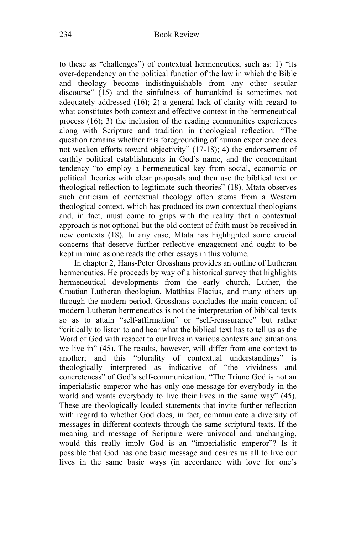to these as "challenges") of contextual hermeneutics, such as: 1) "its over-dependency on the political function of the law in which the Bible and theology become indistinguishable from any other secular discourse" (15) and the sinfulness of humankind is sometimes not adequately addressed (16); 2) a general lack of clarity with regard to what constitutes both context and effective context in the hermeneutical process (16); 3) the inclusion of the reading communities experiences along with Scripture and tradition in theological reflection. "The question remains whether this foregrounding of human experience does not weaken efforts toward objectivity" (17-18); 4) the endorsement of earthly political establishments in God's name, and the concomitant tendency "to employ a hermeneutical key from social, economic or political theories with clear proposals and then use the biblical text or theological reflection to legitimate such theories" (18). Mtata observes such criticism of contextual theology often stems from a Western theological context, which has produced its own contextual theologians and, in fact, must come to grips with the reality that a contextual approach is not optional but the old content of faith must be received in new contexts (18). In any case, Mtata has highlighted some crucial concerns that deserve further reflective engagement and ought to be kept in mind as one reads the other essays in this volume.

In chapter 2, Hans-Peter Grosshans provides an outline of Lutheran hermeneutics. He proceeds by way of a historical survey that highlights hermeneutical developments from the early church, Luther, the Croatian Lutheran theologian, Matthias Flacius, and many others up through the modern period. Grosshans concludes the main concern of modern Lutheran hermeneutics is not the interpretation of biblical texts so as to attain "self-affirmation" or "self-reassurance" but rather "critically to listen to and hear what the biblical text has to tell us as the Word of God with respect to our lives in various contexts and situations we live in" (45). The results, however, will differ from one context to another; and this "plurality of contextual understandings" is theologically interpreted as indicative of "the vividness and concreteness" of God's self-communication. "The Triune God is not an imperialistic emperor who has only one message for everybody in the world and wants everybody to live their lives in the same way" (45). These are theologically loaded statements that invite further reflection with regard to whether God does, in fact, communicate a diversity of messages in different contexts through the same scriptural texts. If the meaning and message of Scripture were univocal and unchanging, would this really imply God is an "imperialistic emperor"? Is it possible that God has one basic message and desires us all to live our lives in the same basic ways (in accordance with love for one's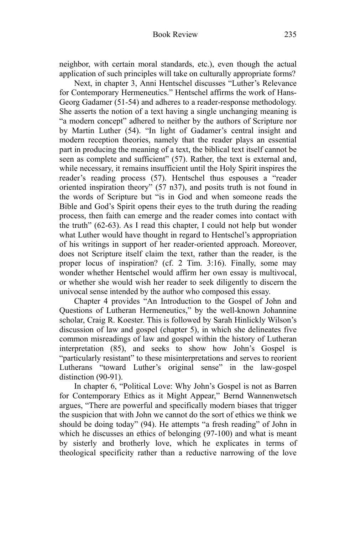neighbor, with certain moral standards, etc.), even though the actual application of such principles will take on culturally appropriate forms?

Next, in chapter 3, Anni Hentschel discusses "Luther's Relevance for Contemporary Hermeneutics." Hentschel affirms the work of Hans-Georg Gadamer (51-54) and adheres to a reader-response methodology. She asserts the notion of a text having a single unchanging meaning is "a modern concept" adhered to neither by the authors of Scripture nor by Martin Luther (54). "In light of Gadamer's central insight and modern reception theories, namely that the reader plays an essential part in producing the meaning of a text, the biblical text itself cannot be seen as complete and sufficient" (57). Rather, the text is external and, while necessary, it remains insufficient until the Holy Spirit inspires the reader's reading process (57). Hentschel thus espouses a "reader oriented inspiration theory" (57 n37), and posits truth is not found in the words of Scripture but "is in God and when someone reads the Bible and God's Spirit opens their eyes to the truth during the reading process, then faith can emerge and the reader comes into contact with the truth" (62-63). As I read this chapter, I could not help but wonder what Luther would have thought in regard to Hentschel's appropriation of his writings in support of her reader-oriented approach. Moreover, does not Scripture itself claim the text, rather than the reader, is the proper locus of inspiration? (cf. 2 Tim. 3:16). Finally, some may wonder whether Hentschel would affirm her own essay is multivocal, or whether she would wish her reader to seek diligently to discern the univocal sense intended by the author who composed this essay.

Chapter 4 provides "An Introduction to the Gospel of John and Questions of Lutheran Hermeneutics," by the well-known Johannine scholar, Craig R. Koester. This is followed by Sarah Hinlickly Wilson's discussion of law and gospel (chapter 5), in which she delineates five common misreadings of law and gospel within the history of Lutheran interpretation (85), and seeks to show how John's Gospel is "particularly resistant" to these misinterpretations and serves to reorient Lutherans "toward Luther's original sense" in the law-gospel distinction (90-91).

In chapter 6, "Political Love: Why John's Gospel is not as Barren for Contemporary Ethics as it Might Appear," Bernd Wannenwetsch argues, "There are powerful and specifically modern biases that trigger the suspicion that with John we cannot do the sort of ethics we think we should be doing today" (94). He attempts "a fresh reading" of John in which he discusses an ethics of belonging (97-100) and what is meant by sisterly and brotherly love, which he explicates in terms of theological specificity rather than a reductive narrowing of the love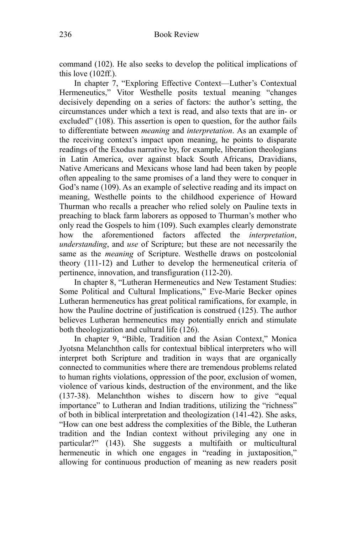command (102). He also seeks to develop the political implications of this love (102ff.).

In chapter 7, "Exploring Effective Context—Luther's Contextual Hermeneutics," Vitor Westhelle posits textual meaning "changes decisively depending on a series of factors: the author's setting, the circumstances under which a text is read, and also texts that are in- or excluded" (108). This assertion is open to question, for the author fails to differentiate between *meaning* and *interpretation*. As an example of the receiving context's impact upon meaning, he points to disparate readings of the Exodus narrative by, for example, liberation theologians in Latin America, over against black South Africans, Dravidians, Native Americans and Mexicans whose land had been taken by people often appealing to the same promises of a land they were to conquer in God's name (109). As an example of selective reading and its impact on meaning, Westhelle points to the childhood experience of Howard Thurman who recalls a preacher who relied solely on Pauline texts in preaching to black farm laborers as opposed to Thurman's mother who only read the Gospels to him (109). Such examples clearly demonstrate how the aforementioned factors affected the *interpretation*, *understanding*, and *use* of Scripture; but these are not necessarily the same as the *meaning* of Scripture. Westhelle draws on postcolonial theory (111-12) and Luther to develop the hermeneutical criteria of pertinence, innovation, and transfiguration (112-20).

In chapter 8, "Lutheran Hermeneutics and New Testament Studies: Some Political and Cultural Implications," Eve-Marie Becker opines Lutheran hermeneutics has great political ramifications, for example, in how the Pauline doctrine of justification is construed (125). The author believes Lutheran hermeneutics may potentially enrich and stimulate both theologization and cultural life (126).

In chapter 9, "Bible, Tradition and the Asian Context," Monica Jyotsna Melanchthon calls for contextual biblical interpreters who will interpret both Scripture and tradition in ways that are organically connected to communities where there are tremendous problems related to human rights violations, oppression of the poor, exclusion of women, violence of various kinds, destruction of the environment, and the like (137-38). Melanchthon wishes to discern how to give "equal importance" to Lutheran and Indian traditions, utilizing the "richness" of both in biblical interpretation and theologization (141-42). She asks, "How can one best address the complexities of the Bible, the Lutheran tradition and the Indian context without privileging any one in particular?" (143). She suggests a multifaith or multicultural hermeneutic in which one engages in "reading in juxtaposition," allowing for continuous production of meaning as new readers posit